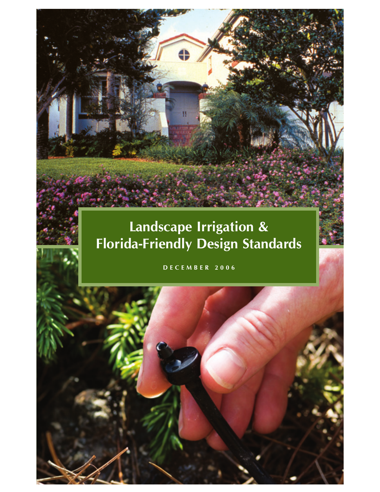# **Landscape Irrigation & Florida-Friendly Design Standards**

n

**DECEMBER 2006**

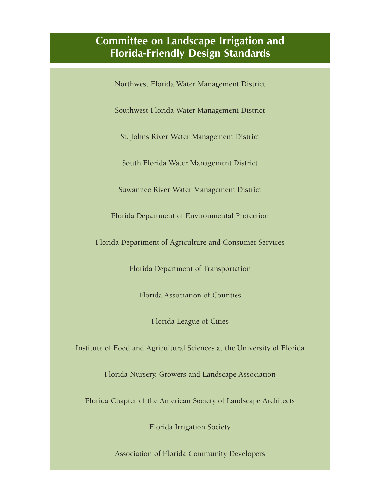## **Committee on Landscape Irrigation and Florida-Friendly Design Standards**

Northwest Florida Water Management District

Southwest Florida Water Management District

St. Johns River Water Management District

South Florida Water Management District

Suwannee River Water Management District

Florida Department of Environmental Protection

Florida Department of Agriculture and Consumer Services

Florida Department of Transportation

Florida Association of Counties

Florida League of Cities

Institute of Food and Agricultural Sciences at the University of Florida

Florida Nursery, Growers and Landscape Association

Florida Chapter of the American Society of Landscape Architects

Florida Irrigation Society

Association of Florida Community Developers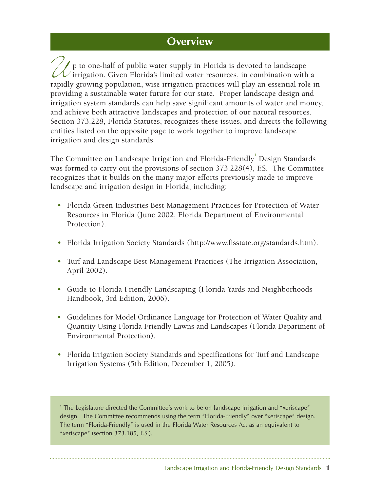## **Overview**

 $\mathcal I$  p to one-half of public water supply in Florida is devoted to landscape  $\mathcal U$  irrigation. Given Florida's limited water resources, in combination with a p to one-half of public water supply in Florida is devoted to landscape<br>irrigation. Given Florida's limited water resources, in combination with a<br>rapidly growing population, wise irrigation practices will play an essentia providing a sustainable water future for our state. Proper landscape design and irrigation system standards can help save significant amounts of water and money, and achieve both attractive landscapes and protection of our natural resources. Section 373.228, Florida Statutes, recognizes these issues, and directs the following entities listed on the opposite page to work together to improve landscape irrigation and design standards.

The Committee on Landscape Irrigation and Florida-Friendly $^1$  Design Standards was formed to carry out the provisions of section 373.228(4), F.S. The Committee recognizes that it builds on the many major efforts previously made to improve landscape and irrigation design in Florida, including:

- Florida Green Industries Best Management Practices for Protection of Water Resources in Florida (June 2002, Florida Department of Environmental Protection).
- Florida Irrigation Society Standards (http://www.fisstate.org/standards.htm).
- Turf and Landscape Best Management Practices (The Irrigation Association, April 2002).
- Guide to Florida Friendly Landscaping (Florida Yards and Neighborhoods Handbook, 3rd Edition, 2006).
- Guidelines for Model Ordinance Language for Protection of Water Quality and Quantity Using Florida Friendly Lawns and Landscapes (Florida Department of Environmental Protection).
- Florida Irrigation Society Standards and Specifications for Turf and Landscape Irrigation Systems (5th Edition, December 1, 2005).

<sup>1</sup> The Legislature directed the Committee's work to be on landscape irrigation and "xeriscape" design. The Committee recommends using the term "Florida-Friendly" over "xeriscape" design. The term "Florida-Friendly" is used in the Florida Water Resources Act as an equivalent to "xeriscape" (section 373.185, F.S.).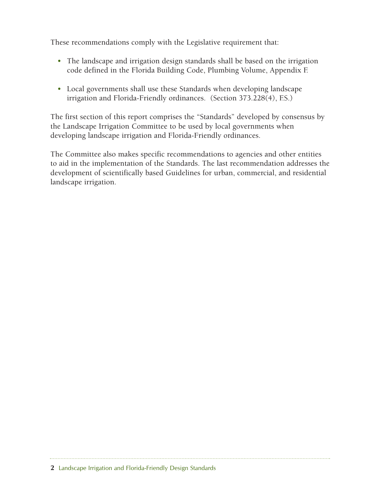These recommendations comply with the Legislative requirement that:

- The landscape and irrigation design standards shall be based on the irrigation code defined in the Florida Building Code, Plumbing Volume, Appendix F.
- Local governments shall use these Standards when developing landscape irrigation and Florida-Friendly ordinances. (Section 373.228(4), F.S.)

The first section of this report comprises the "Standards" developed by consensus by the Landscape Irrigation Committee to be used by local governments when developing landscape irrigation and Florida-Friendly ordinances.

The Committee also makes specific recommendations to agencies and other entities to aid in the implementation of the Standards. The last recommendation addresses the development of scientifically based Guidelines for urban, commercial, and residential landscape irrigation.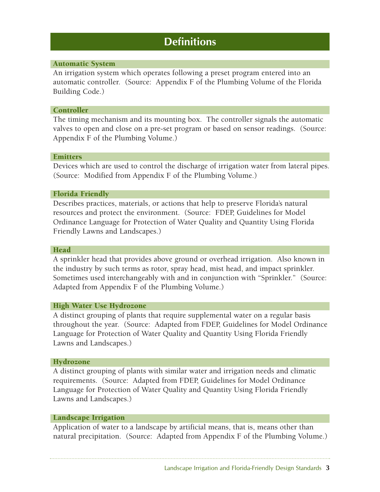## **Definitions**

### Automatic System

An irrigation system which operates following a preset program entered into an automatic controller. (Source: Appendix F of the Plumbing Volume of the Florida Building Code.)

### **Controller**

The timing mechanism and its mounting box. The controller signals the automatic valves to open and close on a pre-set program or based on sensor readings. (Source: Appendix F of the Plumbing Volume.)

### **Emitters**

Devices which are used to control the discharge of irrigation water from lateral pipes. (Source: Modified from Appendix F of the Plumbing Volume.)

## Florida Friendly

Describes practices, materials, or actions that help to preserve Florida's natural resources and protect the environment. (Source: FDEP, Guidelines for Model Ordinance Language for Protection of Water Quality and Quantity Using Florida Friendly Lawns and Landscapes.)

### Head

A sprinkler head that provides above ground or overhead irrigation. Also known in the industry by such terms as rotor, spray head, mist head, and impact sprinkler. Sometimes used interchangeably with and in conjunction with "Sprinkler." (Source: Adapted from Appendix F of the Plumbing Volume.)

## High Water Use Hydrozone

A distinct grouping of plants that require supplemental water on a regular basis throughout the year. (Source: Adapted from FDEP, Guidelines for Model Ordinance Language for Protection of Water Quality and Quantity Using Florida Friendly Lawns and Landscapes.)

#### Hydrozone

A distinct grouping of plants with similar water and irrigation needs and climatic requirements. (Source: Adapted from FDEP, Guidelines for Model Ordinance Language for Protection of Water Quality and Quantity Using Florida Friendly Lawns and Landscapes.)

#### Landscape Irrigation

Application of water to a landscape by artificial means, that is, means other than natural precipitation. (Source: Adapted from Appendix F of the Plumbing Volume.)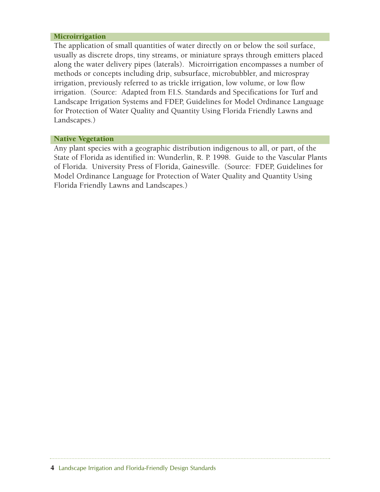#### **Microirrigation**

The application of small quantities of water directly on or below the soil surface, usually as discrete drops, tiny streams, or miniature sprays through emitters placed along the water delivery pipes (laterals). Microirrigation encompasses a number of methods or concepts including drip, subsurface, microbubbler, and microspray irrigation, previously referred to as trickle irrigation, low volume, or low flow irrigation. (Source: Adapted from F.I.S. Standards and Specifications for Turf and Landscape Irrigation Systems and FDEP, Guidelines for Model Ordinance Language for Protection of Water Quality and Quantity Using Florida Friendly Lawns and Landscapes.)

#### Native Vegetation

Any plant species with a geographic distribution indigenous to all, or part, of the State of Florida as identified in: Wunderlin, R. P. 1998. Guide to the Vascular Plants of Florida. University Press of Florida, Gainesville. (Source: FDEP, Guidelines for Model Ordinance Language for Protection of Water Quality and Quantity Using Florida Friendly Lawns and Landscapes.)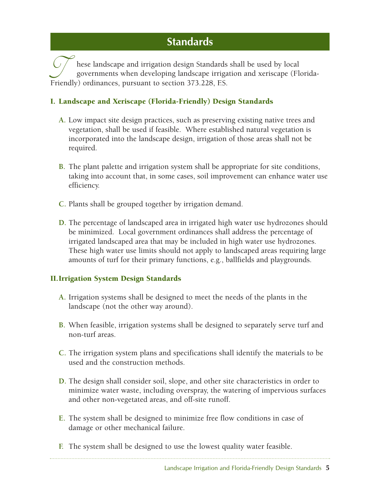## **Standards**

hese landscape and irrigation design Standards shall be used by local governments when developing landscape irrigation and xeriscape (Florida-Friendly) ordinances, pursuant to section 373.228, F.S.

## I. Landscape and Xeriscape (Florida-Friendly) Design Standards

- **A.** Low impact site design practices, such as preserving existing native trees and vegetation, shall be used if feasible. Where established natural vegetation is incorporated into the landscape design, irrigation of those areas shall not be required.
- **B.** The plant palette and irrigation system shall be appropriate for site conditions, taking into account that, in some cases, soil improvement can enhance water use efficiency.
- **C.** Plants shall be grouped together by irrigation demand.
- **D.** The percentage of landscaped area in irrigated high water use hydrozones should be minimized. Local government ordinances shall address the percentage of irrigated landscaped area that may be included in high water use hydrozones. These high water use limits should not apply to landscaped areas requiring large amounts of turf for their primary functions, e.g., ballfields and playgrounds.

## II.Irrigation System Design Standards

- **A.** Irrigation systems shall be designed to meet the needs of the plants in the landscape (not the other way around).
- **B.** When feasible, irrigation systems shall be designed to separately serve turf and non-turf areas.
- **C.** The irrigation system plans and specifications shall identify the materials to be used and the construction methods.
- **D.** The design shall consider soil, slope, and other site characteristics in order to minimize water waste, including overspray, the watering of impervious surfaces and other non-vegetated areas, and off-site runoff.
- **E.** The system shall be designed to minimize free flow conditions in case of damage or other mechanical failure.
- **F.** The system shall be designed to use the lowest quality water feasible.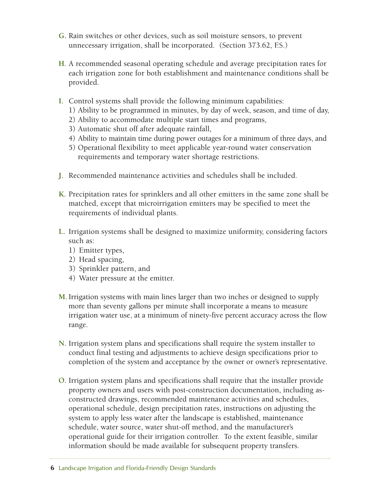- **G.** Rain switches or other devices, such as soil moisture sensors, to prevent unnecessary irrigation, shall be incorporated. (Section 373.62, F.S.)
- **H.** A recommended seasonal operating schedule and average precipitation rates for each irrigation zone for both establishment and maintenance conditions shall be provided.
- **I.** Control systems shall provide the following minimum capabilities:
	- 1) Ability to be programmed in minutes, by day of week, season, and time of day,
	- 2) Ability to accommodate multiple start times and programs,
	- 3) Automatic shut off after adequate rainfall,
	- 4) Ability to maintain time during power outages for a minimum of three days, and
	- 5) Operational flexibility to meet applicable year-round water conservation requirements and temporary water shortage restrictions.
- **J.** Recommended maintenance activities and schedules shall be included.
- **K.** Precipitation rates for sprinklers and all other emitters in the same zone shall be matched, except that microirrigation emitters may be specified to meet the requirements of individual plants.
- **L.** Irrigation systems shall be designed to maximize uniformity, considering factors such as:
	- 1) Emitter types,
	- 2) Head spacing,
	- 3) Sprinkler pattern, and
	- 4) Water pressure at the emitter.
- **M.**Irrigation systems with main lines larger than two inches or designed to supply more than seventy gallons per minute shall incorporate a means to measure irrigation water use, at a minimum of ninety-five percent accuracy across the flow range.
- **N.** Irrigation system plans and specifications shall require the system installer to conduct final testing and adjustments to achieve design specifications prior to completion of the system and acceptance by the owner or owner's representative.
- **O.** Irrigation system plans and specifications shall require that the installer provide property owners and users with post-construction documentation, including asconstructed drawings, recommended maintenance activities and schedules, operational schedule, design precipitation rates, instructions on adjusting the system to apply less water after the landscape is established, maintenance schedule, water source, water shut-off method, and the manufacturer's operational guide for their irrigation controller. To the extent feasible, similar information should be made available for subsequent property transfers.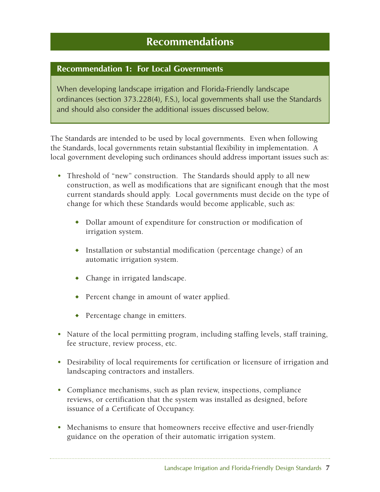## **Recommendations**

## **Recommendation 1: For Local Governments**

When developing landscape irrigation and Florida-Friendly landscape ordinances (section 373.228(4), F.S.), local governments shall use the Standards and should also consider the additional issues discussed below.

The Standards are intended to be used by local governments. Even when following the Standards, local governments retain substantial flexibility in implementation. A local government developing such ordinances should address important issues such as:

- Threshold of "new" construction. The Standards should apply to all new construction, as well as modifications that are significant enough that the most current standards should apply. Local governments must decide on the type of change for which these Standards would become applicable, such as:
	- ◆ Dollar amount of expenditure for construction or modification of irrigation system.
	- ◆ Installation or substantial modification (percentage change) of an automatic irrigation system.
	- ◆ Change in irrigated landscape.
	- ◆ Percent change in amount of water applied.
	- ◆ Percentage change in emitters.
- Nature of the local permitting program, including staffing levels, staff training, fee structure, review process, etc.
- Desirability of local requirements for certification or licensure of irrigation and landscaping contractors and installers.
- Compliance mechanisms, such as plan review, inspections, compliance reviews, or certification that the system was installed as designed, before issuance of a Certificate of Occupancy.
- Mechanisms to ensure that homeowners receive effective and user-friendly guidance on the operation of their automatic irrigation system.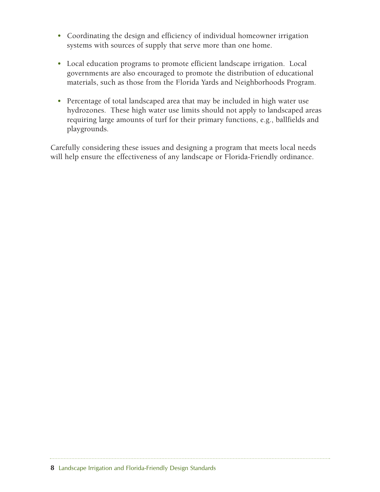- Coordinating the design and efficiency of individual homeowner irrigation systems with sources of supply that serve more than one home.
- Local education programs to promote efficient landscape irrigation. Local governments are also encouraged to promote the distribution of educational materials, such as those from the Florida Yards and Neighborhoods Program.
- Percentage of total landscaped area that may be included in high water use hydrozones. These high water use limits should not apply to landscaped areas requiring large amounts of turf for their primary functions, e.g., ballfields and playgrounds.

Carefully considering these issues and designing a program that meets local needs will help ensure the effectiveness of any landscape or Florida-Friendly ordinance.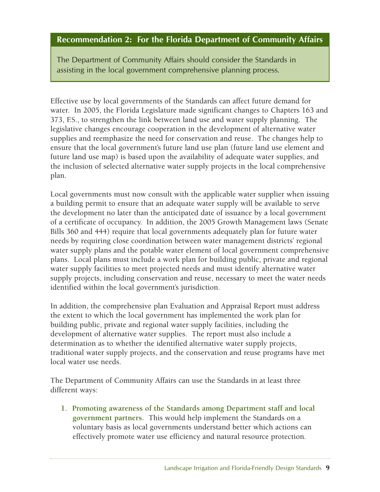## **Recommendation 2: For the Florida Department of Community Affairs**

The Department of Community Affairs should consider the Standards in assisting in the local government comprehensive planning process.

Effective use by local governments of the Standards can affect future demand for water. In 2005, the Florida Legislature made significant changes to Chapters 163 and 373, F.S., to strengthen the link between land use and water supply planning. The legislative changes encourage cooperation in the development of alternative water supplies and reemphasize the need for conservation and reuse. The changes help to ensure that the local government's future land use plan (future land use element and future land use map) is based upon the availability of adequate water supplies, and the inclusion of selected alternative water supply projects in the local comprehensive plan.

Local governments must now consult with the applicable water supplier when issuing a building permit to ensure that an adequate water supply will be available to serve the development no later than the anticipated date of issuance by a local government of a certificate of occupancy. In addition, the 2005 Growth Management laws (Senate Bills 360 and 444) require that local governments adequately plan for future water needs by requiring close coordination between water management districts' regional water supply plans and the potable water element of local government comprehensive plans. Local plans must include a work plan for building public, private and regional water supply facilities to meet projected needs and must identify alternative water supply projects, including conservation and reuse, necessary to meet the water needs identified within the local government's jurisdiction.

In addition, the comprehensive plan Evaluation and Appraisal Report must address the extent to which the local government has implemented the work plan for building public, private and regional water supply facilities, including the development of alternative water supplies. The report must also include a determination as to whether the identified alternative water supply projects, traditional water supply projects, and the conservation and reuse programs have met local water use needs.

The Department of Community Affairs can use the Standards in at least three different ways:

**1. Promoting awareness of the Standards among Department staff and local government partners.** This would help implement the Standards on a voluntary basis as local governments understand better which actions can effectively promote water use efficiency and natural resource protection.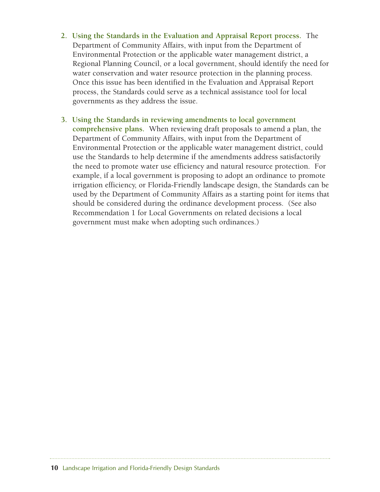- **2. Using the Standards in the Evaluation and Appraisal Report process.** The Department of Community Affairs, with input from the Department of Environmental Protection or the applicable water management district, a Regional Planning Council, or a local government, should identify the need for water conservation and water resource protection in the planning process. Once this issue has been identified in the Evaluation and Appraisal Report process, the Standards could serve as a technical assistance tool for local governments as they address the issue.
- **3. Using the Standards in reviewing amendments to local government comprehensive plans.** When reviewing draft proposals to amend a plan, the Department of Community Affairs, with input from the Department of Environmental Protection or the applicable water management district, could use the Standards to help determine if the amendments address satisfactorily the need to promote water use efficiency and natural resource protection. For example, if a local government is proposing to adopt an ordinance to promote irrigation efficiency, or Florida-Friendly landscape design, the Standards can be used by the Department of Community Affairs as a starting point for items that should be considered during the ordinance development process. (See also Recommendation 1 for Local Governments on related decisions a local government must make when adopting such ordinances.)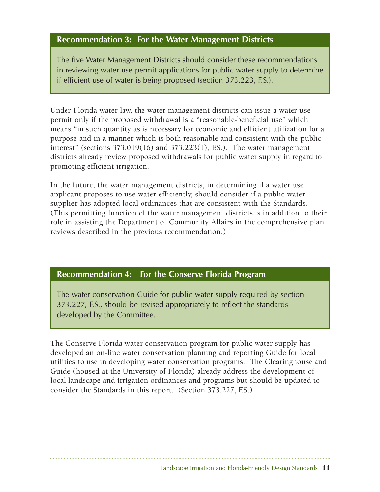## **Recommendation 3: For the Water Management Districts**

The five Water Management Districts should consider these recommendations in reviewing water use permit applications for public water supply to determine if efficient use of water is being proposed (section 373.223, F.S.).

Under Florida water law, the water management districts can issue a water use permit only if the proposed withdrawal is a "reasonable-beneficial use" which means "in such quantity as is necessary for economic and efficient utilization for a purpose and in a manner which is both reasonable and consistent with the public interest" (sections  $373.019(16)$  and  $373.223(1)$ , F.S.). The water management districts already review proposed withdrawals for public water supply in regard to promoting efficient irrigation.

In the future, the water management districts, in determining if a water use applicant proposes to use water efficiently, should consider if a public water supplier has adopted local ordinances that are consistent with the Standards. (This permitting function of the water management districts is in addition to their role in assisting the Department of Community Affairs in the comprehensive plan reviews described in the previous recommendation.)

## **Recommendation 4: For the Conserve Florida Program**

The water conservation Guide for public water supply required by section 373.227, F.S., should be revised appropriately to reflect the standards developed by the Committee.

The Conserve Florida water conservation program for public water supply has developed an on-line water conservation planning and reporting Guide for local utilities to use in developing water conservation programs. The Clearinghouse and Guide (housed at the University of Florida) already address the development of local landscape and irrigation ordinances and programs but should be updated to consider the Standards in this report. (Section 373.227, F.S.)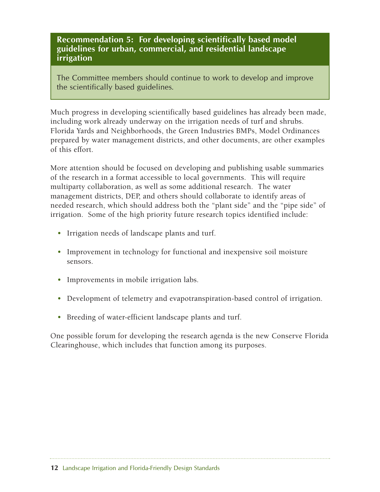**Recommendation 5: For developing scientifically based model guidelines for urban, commercial, and residential landscape irrigation**

The Committee members should continue to work to develop and improve the scientifically based guidelines.

Much progress in developing scientifically based guidelines has already been made, including work already underway on the irrigation needs of turf and shrubs. Florida Yards and Neighborhoods, the Green Industries BMPs, Model Ordinances prepared by water management districts, and other documents, are other examples of this effort.

More attention should be focused on developing and publishing usable summaries of the research in a format accessible to local governments. This will require multiparty collaboration, as well as some additional research. The water management districts, DEP, and others should collaborate to identify areas of needed research, which should address both the "plant side" and the "pipe side" of irrigation. Some of the high priority future research topics identified include:

- Irrigation needs of landscape plants and turf.
- Improvement in technology for functional and inexpensive soil moisture sensors.
- Improvements in mobile irrigation labs.
- Development of telemetry and evapotranspiration-based control of irrigation.
- Breeding of water-efficient landscape plants and turf.

One possible forum for developing the research agenda is the new Conserve Florida Clearinghouse, which includes that function among its purposes.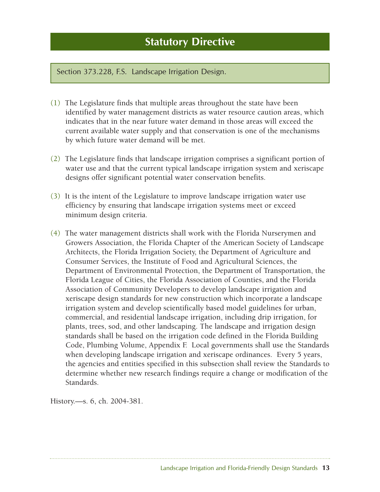Section 373.228, F.S. Landscape Irrigation Design.

- (1) The Legislature finds that multiple areas throughout the state have been identified by water management districts as water resource caution areas, which indicates that in the near future water demand in those areas will exceed the current available water supply and that conservation is one of the mechanisms by which future water demand will be met.
- (2) The Legislature finds that landscape irrigation comprises a significant portion of water use and that the current typical landscape irrigation system and xeriscape designs offer significant potential water conservation benefits.
- (3) It is the intent of the Legislature to improve landscape irrigation water use efficiency by ensuring that landscape irrigation systems meet or exceed minimum design criteria.
- (4) The water management districts shall work with the Florida Nurserymen and Growers Association, the Florida Chapter of the American Society of Landscape Architects, the Florida Irrigation Society, the Department of Agriculture and Consumer Services, the Institute of Food and Agricultural Sciences, the Department of Environmental Protection, the Department of Transportation, the Florida League of Cities, the Florida Association of Counties, and the Florida Association of Community Developers to develop landscape irrigation and xeriscape design standards for new construction which incorporate a landscape irrigation system and develop scientifically based model guidelines for urban, commercial, and residential landscape irrigation, including drip irrigation, for plants, trees, sod, and other landscaping. The landscape and irrigation design standards shall be based on the irrigation code defined in the Florida Building Code, Plumbing Volume, Appendix F. Local governments shall use the Standards when developing landscape irrigation and xeriscape ordinances. Every 5 years, the agencies and entities specified in this subsection shall review the Standards to determine whether new research findings require a change or modification of the Standards.

History.—s. 6, ch. 2004-381.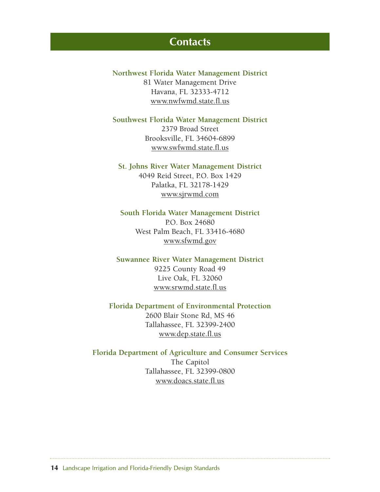## **Contacts**

**Northwest Florida Water Management District** 81 Water Management Drive Havana, FL 32333-4712 www.nwfwmd.state.fl.us

**Southwest Florida Water Management District** 2379 Broad Street

Brooksville, FL 34604-6899 www.swfwmd.state.fl.us

## **St. Johns River Water Management District**

4049 Reid Street, P.O. Box 1429 Palatka, FL 32178-1429 www.sjrwmd.com

#### **South Florida Water Management District**

P.O. Box 24680 West Palm Beach, FL 33416-4680 www.sfwmd.gov

## **Suwannee River Water Management District** 9225 County Road 49

Live Oak, FL 32060 www.srwmd.state.fl.us

## **Florida Department of Environmental Protection** 2600 Blair Stone Rd, MS 46 Tallahassee, FL 32399-2400 www.dep.state.fl.us

## **Florida Department of Agriculture and Consumer Services** The Capitol Tallahassee, FL 32399-0800 www.doacs.state.fl.us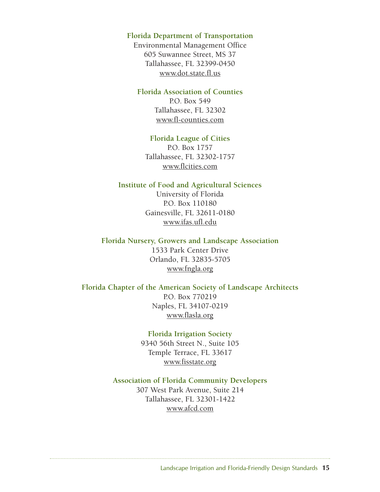## **Florida Department of Transportation**

Environmental Management Office 605 Suwannee Street, MS 37 Tallahassee, FL 32399-0450 www.dot.state.fl.us

#### **Florida Association of Counties**

P.O. Box 549 Tallahassee, FL 32302 www.fl-counties.com

#### **Florida League of Cities**

P.O. Box 1757 Tallahassee, FL 32302-1757 www.flcities.com

### **Institute of Food and Agricultural Sciences**

University of Florida P.O. Box 110180 Gainesville, FL 32611-0180 www.ifas.ufl.edu

**Florida Nursery, Growers and Landscape Association** 1533 Park Center Drive Orlando, FL 32835-5705 www.fngla.org

## **Florida Chapter of the American Society of Landscape Architects**

P.O. Box 770219 Naples, FL 34107-0219 www.flasla.org

### **Florida Irrigation Society**

9340 56th Street N., Suite 105 Temple Terrace, FL 33617 www.fisstate.org

## **Association of Florida Community Developers** 307 West Park Avenue, Suite 214 Tallahassee, FL 32301-1422 www.afcd.com

Landscape Irrigation and Florida-Friendly Design Standards **15**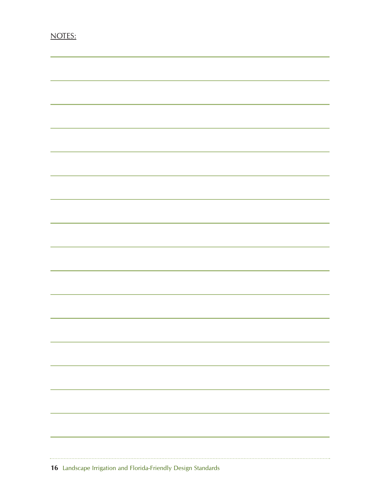| <u> 1989 - Johann Harry Harry Harry Harry Harry Harry Harry Harry Harry Harry Harry Harry Harry Harry Harry Harry</u>   |  |  |
|-------------------------------------------------------------------------------------------------------------------------|--|--|
| <u> 1989 - Johann Harry Harry Harry Harry Harry Harry Harry Harry Harry Harry Harry Harry Harry Harry Harry Harry H</u> |  |  |
|                                                                                                                         |  |  |
| <u> 1989 - Andrea Santa Andrea Andrea Andrea Andrea Andrea Andrea Andrea Andrea Andrea Andrea Andrea Andrea Andr</u>    |  |  |
| ,我们也不能在这里,我们也不能在这里的时候,我们也不能在这里的时候,我们也不能会不能会不能会不能会不能会不能会。""我们,我们也不能会不能会不能会不能会不能会不                                        |  |  |
|                                                                                                                         |  |  |
|                                                                                                                         |  |  |
|                                                                                                                         |  |  |
|                                                                                                                         |  |  |
|                                                                                                                         |  |  |
|                                                                                                                         |  |  |
|                                                                                                                         |  |  |
|                                                                                                                         |  |  |
|                                                                                                                         |  |  |
|                                                                                                                         |  |  |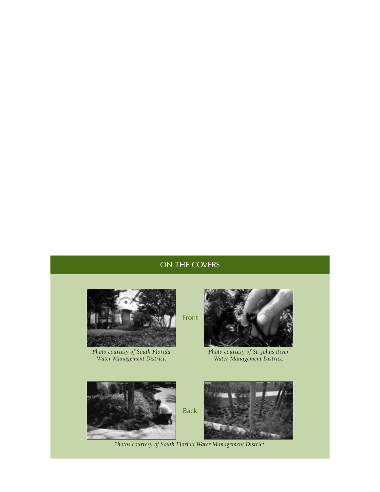## ON THE COVERS



*Photo courtesy of South Florida Water Management District.*



*Photo courtesy of St. Johns River Water Management District.*



*Photos courtesy of South Florida Water Management District.*